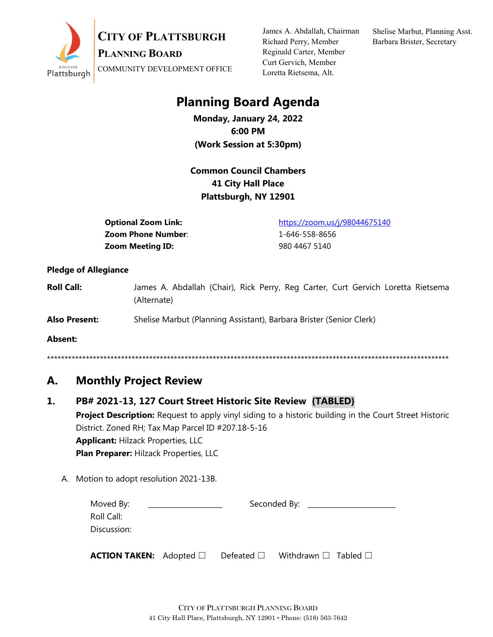

**CITY OF PLATTSBURGH**

**PLANNING BOARD**

COMMUNITY DEVELOPMENT OFFICE

James A. Abdallah, Chairman Richard Perry, Member Reginald Carter, Member Curt Gervich, Member Loretta Rietsema, Alt.

Shelise Marbut, Planning Asst. Barbara Brister, Secretary

## **Planning Board Agenda**

**Monday, January 24, 2022 6:00 PM (Work Session at 5:30pm)**

### **Common Council Chambers 41 City Hall Place Plattsburgh, NY 12901**

**Zoom Phone Number:** 1-646-558-8656 **Zoom Meeting ID:** 980 4467 5140

**Optional Zoom Link:** <https://zoom.us/j/98044675140>

#### **Pledge of Allegiance**

**Roll Call:** James A. Abdallah (Chair), Rick Perry, Reg Carter, Curt Gervich Loretta Rietsema (Alternate)

**Also Present:** Shelise Marbut (Planning Assistant), Barbara Brister (Senior Clerk)

**Absent:**

\*\*\*\*\*\*\*\*\*\*\*\*\*\*\*\*\*\*\*\*\*\*\*\*\*\*\*\*\*\*\*\*\*\*\*\*\*\*\*\*\*\*\*\*\*\*\*\*\*\*\*\*\*\*\*\*\*\*\*\*\*\*\*\*\*\*\*\*\*\*\*\*\*\*\*\*\*\*\*\*\*\*\*\*\*\*\*\*\*\*\*\*\*\*\*\*\*\*\*\*\*\*\*\*\*\*\*\*\*\*\*\*\*\*

## **A. Monthly Project Review**

#### **1. PB# 2021-13, 127 Court Street Historic Site Review {TABLED}**

**Project Description:** Request to apply vinyl siding to a historic building in the Court Street Historic District. Zoned RH; Tax Map Parcel ID #207.18-5-16 **Applicant:** Hilzack Properties, LLC **Plan Preparer:** Hilzack Properties, LLC

A. Motion to adopt resolution 2021-13B.

| Moved By:   | Seconded By: |  |
|-------------|--------------|--|
| Roll Call:  |              |  |
| Discussion: |              |  |
|             |              |  |